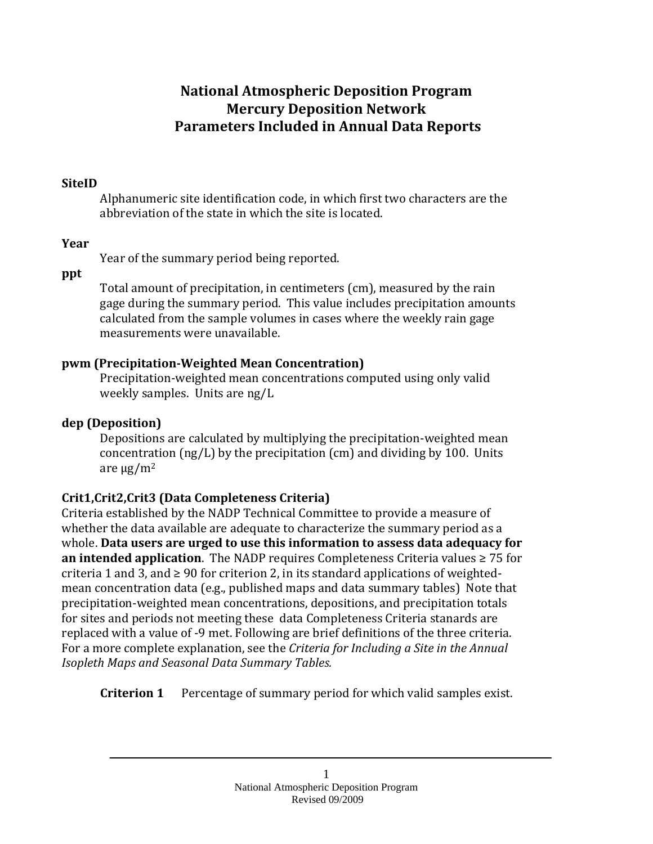# **National Atmospheric Deposition Program Mercury Deposition Network Parameters Included in Annual Data Reports**

### **SiteID**

Alphanumeric site identification code, in which first two characters are the abbreviation of the state in which the site is located.

#### **Year**

Year of the summary period being reported.

**ppt**

Total amount of precipitation, in centimeters (cm), measured by the rain gage during the summary period. This value includes precipitation amounts calculated from the sample volumes in cases where the weekly rain gage measurements were unavailable.

## **pwm (Precipitation-Weighted Mean Concentration)**

Precipitation-weighted mean concentrations computed using only valid weekly samples. Units are ng/L

# **dep (Deposition)**

Depositions are calculated by multiplying the precipitation-weighted mean concentration (ng/L) by the precipitation (cm) and dividing by 100. Units are  $\mu$ g/m<sup>2</sup>

# **Crit1,Crit2,Crit3 (Data Completeness Criteria)**

Criteria established by the NADP Technical Committee to provide a measure of whether the data available are adequate to characterize the summary period as a whole. **Data users are urged to use this information to assess data adequacy for an intended application**. The NADP requires Completeness Criteria values ≥ 75 for criteria 1 and 3, and  $\geq$  90 for criterion 2, in its standard applications of weightedmean concentration data (e.g., published maps and data summary tables) Note that precipitation-weighted mean concentrations, depositions, and precipitation totals for sites and periods not meeting these data Completeness Criteria stanards are replaced with a value of -9 met. Following are brief definitions of the three criteria. For a more complete explanation, see the *Criteria for Including a Site in the Annual Isopleth Maps and Seasonal Data Summary Tables.* 

**Criterion 1** Percentage of summary period for which valid samples exist.